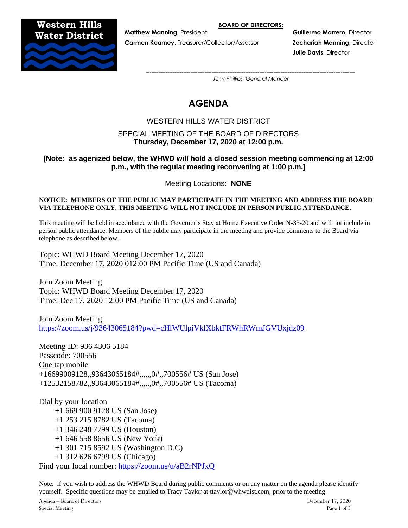**BOARD OF DIRECTORS:**

## **Western Hills Water District**



**Carmen Kearney**, Treasurer/Collector/Assessor **Zechariah Manning,** Director

**Matthew Manning**, President **Guillermo Marrero, Director and Arrest Arrest Arrest Arrest Arrest Arrest Arrest Arrest Arrest Arrest Arrest Arrest Arrest Arrest Arrest Arrest Arrest Arrest Arrest Arrest Arrest Arrest Arrest Julie Davis**, Director

*---------------------------------------------------------------------------------------------------------------------- Jerry Phillips, General Manger*

# **AGENDA**

## WESTERN HILLS WATER DISTRICT

## SPECIAL MEETING OF THE BOARD OF DIRECTORS **Thursday, December 17, 2020 at 12:00 p.m.**

## **[Note: as agenized below, the WHWD will hold a closed session meeting commencing at 12:00 p.m., with the regular meeting reconvening at 1:00 p.m.]**

Meeting Locations: **NONE**

#### **NOTICE: MEMBERS OF THE PUBLIC MAY PARTICIPATE IN THE MEETING AND ADDRESS THE BOARD VIA TELEPHONE ONLY. THIS MEETING WILL NOT INCLUDE IN PERSON PUBLIC ATTENDANCE.**

This meeting will be held in accordance with the Governor's Stay at Home Executive Order N-33-20 and will not include in person public attendance. Members of the public may participate in the meeting and provide comments to the Board via telephone as described below.

Topic: WHWD Board Meeting December 17, 2020 Time: December 17, 2020 012:00 PM Pacific Time (US and Canada)

Join Zoom Meeting Topic: WHWD Board Meeting December 17, 2020 Time: Dec 17, 2020 12:00 PM Pacific Time (US and Canada)

Join Zoom Meeting <https://zoom.us/j/93643065184?pwd=cHlWUlpiVklXbktFRWhRWmJGVUxjdz09>

Meeting ID: 936 4306 5184 Passcode: 700556 One tap mobile +16699009128,,93643065184#,,,,,,0#,,700556# US (San Jose) +12532158782,,93643065184#,,,,,,0#,,700556# US (Tacoma)

Dial by your location +1 669 900 9128 US (San Jose) +1 253 215 8782 US (Tacoma) +1 346 248 7799 US (Houston) +1 646 558 8656 US (New York) +1 301 715 8592 US (Washington D.C) +1 312 626 6799 US (Chicago) Find your local number:<https://zoom.us/u/aB2rNPJxQ>

Note: if you wish to address the WHWD Board during public comments or on any matter on the agenda please identify yourself. Specific questions may be emailed to Tracy Taylor at ttaylor@whwdist.com, prior to the meeting.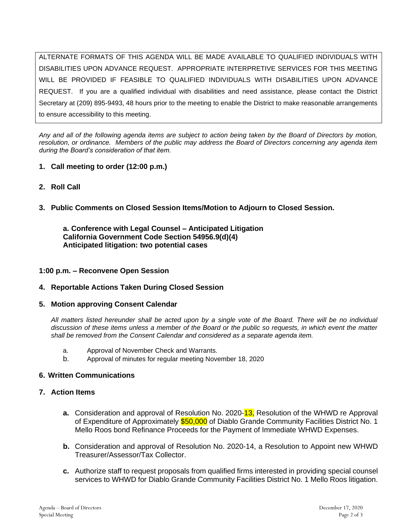ALTERNATE FORMATS OF THIS AGENDA WILL BE MADE AVAILABLE TO QUALIFIED INDIVIDUALS WITH DISABILITIES UPON ADVANCE REQUEST. APPROPRIATE INTERPRETIVE SERVICES FOR THIS MEETING WILL BE PROVIDED IF FEASIBLE TO QUALIFIED INDIVIDUALS WITH DISABILITIES UPON ADVANCE REQUEST. If you are a qualified individual with disabilities and need assistance, please contact the District Secretary at (209) 895-9493, 48 hours prior to the meeting to enable the District to make reasonable arrangements to ensure accessibility to this meeting.

*Any and all of the following agenda items are subject to action being taken by the Board of Directors by motion, resolution, or ordinance. Members of the public may address the Board of Directors concerning any agenda item during the Board's consideration of that item.*

- **1. Call meeting to order (12:00 p.m.)**
- **2. Roll Call**
- **3. Public Comments on Closed Session Items/Motion to Adjourn to Closed Session.**

**a. Conference with Legal Counsel – Anticipated Litigation California Government Code Section 54956.9(d)(4) Anticipated litigation: two potential cases**

## **1:00 p.m. – Reconvene Open Session**

- **4. Reportable Actions Taken During Closed Session**
- **5. Motion approving Consent Calendar**

*All matters listed hereunder shall be acted upon by a single vote of the Board. There will be no individual discussion of these items unless a member of the Board or the public so requests, in which event the matter shall be removed from the Consent Calendar and considered as a separate agenda item.*

- a. Approval of November Check and Warrants.
- b. Approval of minutes for regular meeting November 18, 2020

#### **6. Written Communications**

## **7. Action Items**

- **a.** Consideration and approval of Resolution No. 2020-13, Resolution of the WHWD re Approval of Expenditure of Approximately \$50,000 of Diablo Grande Community Facilities District No. 1 Mello Roos bond Refinance Proceeds for the Payment of Immediate WHWD Expenses.
- **b.** Consideration and approval of Resolution No. 2020-14, a Resolution to Appoint new WHWD Treasurer/Assessor/Tax Collector.
- **c.** Authorize staff to request proposals from qualified firms interested in providing special counsel services to WHWD for Diablo Grande Community Facilities District No. 1 Mello Roos litigation.